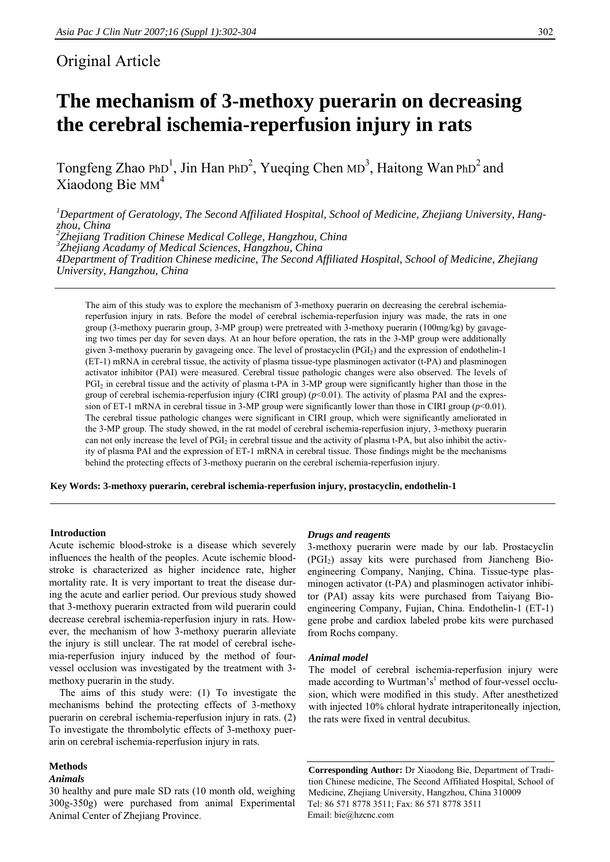# Original Article

# **The mechanism of 3-methoxy puerarin on decreasing the cerebral ischemia-reperfusion injury in rats**

Tongfeng Zhao PhD<sup>1</sup>, Jin Han PhD<sup>2</sup>, Yueqing Chen MD<sup>3</sup>, Haitong Wan PhD<sup>2</sup> and Xiaodong Bie MM<sup>4</sup>

*1 Department of Geratology, The Second Affiliated Hospital, School of Medicine, Zhejiang University, Hangzhou, China 2 Zhejiang Tradition Chinese Medical College, Hangzhou, China 3 Zhejiang Acadamy of Medical Sciences, Hangzhou, China 4Department of Tradition Chinese medicine, The Second Affiliated Hospital, School of Medicine, Zhejiang University, Hangzhou, China* 

The aim of this study was to explore the mechanism of 3-methoxy puerarin on decreasing the cerebral ischemiareperfusion injury in rats. Before the model of cerebral ischemia-reperfusion injury was made, the rats in one group (3-methoxy puerarin group, 3-MP group) were pretreated with 3-methoxy puerarin (100mg/kg) by gavageing two times per day for seven days. At an hour before operation, the rats in the 3-MP group were additionally given 3-methoxy puerarin by gavageing once. The level of prostacyclin (PGI2) and the expression of endothelin-1 (ET-1) mRNA in cerebral tissue, the activity of plasma tissue-type plasminogen activator (t-PA) and plasminogen activator inhibitor (PAI) were measured. Cerebral tissue pathologic changes were also observed. The levels of PGI<sub>2</sub> in cerebral tissue and the activity of plasma t-PA in 3-MP group were significantly higher than those in the group of cerebral ischemia-reperfusion injury (CIRI group)  $(p<0.01)$ . The activity of plasma PAI and the expression of ET-1 mRNA in cerebral tissue in 3-MP group were significantly lower than those in CIRI group  $(p<0.01)$ . The cerebral tissue pathologic changes were significant in CIRI group, which were significantly ameliorated in the 3-MP group. The study showed, in the rat model of cerebral ischemia-reperfusion injury, 3-methoxy puerarin can not only increase the level of PGI<sub>2</sub> in cerebral tissue and the activity of plasma t-PA, but also inhibit the activity of plasma PAI and the expression of ET-1 mRNA in cerebral tissue. Those findings might be the mechanisms behind the protecting effects of 3-methoxy puerarin on the cerebral ischemia-reperfusion injury.

**Key Words: 3-methoxy puerarin, cerebral ischemia-reperfusion injury, prostacyclin, endothelin-1** 

# **Introduction**

Acute ischemic blood-stroke is a disease which severely influences the health of the peoples. Acute ischemic bloodstroke is characterized as higher incidence rate, higher mortality rate. It is very important to treat the disease during the acute and earlier period. Our previous study showed that 3-methoxy puerarin extracted from wild puerarin could decrease cerebral ischemia-reperfusion injury in rats. However, the mechanism of how 3-methoxy puerarin alleviate the injury is still unclear. The rat model of cerebral ischemia-reperfusion injury induced by the method of fourvessel occlusion was investigated by the treatment with 3 methoxy puerarin in the study.

 The aims of this study were: (1) To investigate the mechanisms behind the protecting effects of 3-methoxy puerarin on cerebral ischemia-reperfusion injury in rats. (2) To investigate the thrombolytic effects of 3-methoxy puerarin on cerebral ischemia-reperfusion injury in rats.

# **Methods**

# *Animals*

30 healthy and pure male SD rats (10 month old, weighing 300g-350g) were purchased from animal Experimental Animal Center of Zhejiang Province.

# *Drugs and reagents*

3-methoxy puerarin were made by our lab. Prostacyclin  $(PGI<sub>2</sub>)$  assay kits were purchased from Jiancheng Bioengineering Company, Nanjing, China. Tissue-type plasminogen activator (t-PA) and plasminogen activator inhibitor (PAI) assay kits were purchased from Taiyang Bioengineering Company, Fujian, China. Endothelin-1 (ET-1) gene probe and cardiox labeled probe kits were purchased from Rochs company.

#### *Animal model*

The model of cerebral ischemia-reperfusion injury were made according to Wurtman's<sup>1</sup> method of four-vessel occlusion, which were modified in this study. After anesthetized with injected 10% chloral hydrate intraperitoneally injection, the rats were fixed in ventral decubitus.

**Corresponding Author:** Dr Xiaodong Bie, Department of Tradition Chinese medicine, The Second Affiliated Hospital, School of Medicine, Zhejiang University, Hangzhou, China 310009 Tel: 86 571 8778 3511; Fax: 86 571 8778 3511 Email: bie@hzcnc.com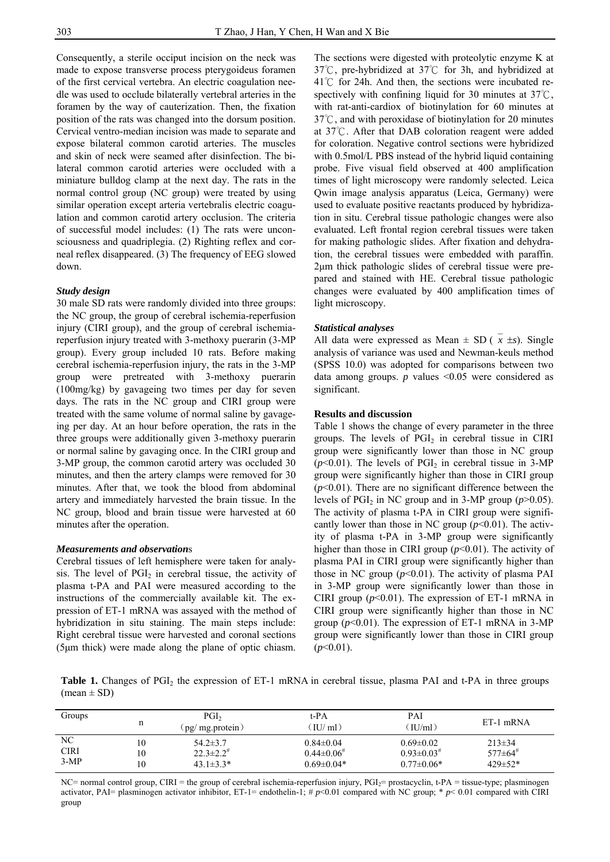Consequently, a sterile occiput incision on the neck was made to expose transverse process pterygoideus foramen of the first cervical vertebra. An electric coagulation needle was used to occlude bilaterally vertebral arteries in the foramen by the way of cauterization. Then, the fixation position of the rats was changed into the dorsum position. Cervical ventro-median incision was made to separate and expose bilateral common carotid arteries. The muscles and skin of neck were seamed after disinfection. The bilateral common carotid arteries were occluded with a miniature bulldog clamp at the next day. The rats in the normal control group (NC group) were treated by using similar operation except arteria vertebralis electric coagulation and common carotid artery occlusion. The criteria of successful model includes: (1) The rats were unconsciousness and quadriplegia. (2) Righting reflex and corneal reflex disappeared. (3) The frequency of EEG slowed down.

#### *Study design*

30 male SD rats were randomly divided into three groups: the NC group, the group of cerebral ischemia-reperfusion injury (CIRI group), and the group of cerebral ischemiareperfusion injury treated with 3-methoxy puerarin (3-MP group). Every group included 10 rats. Before making cerebral ischemia-reperfusion injury, the rats in the 3-MP group were pretreated with 3-methoxy puerarin (100mg/kg) by gavageing two times per day for seven days. The rats in the NC group and CIRI group were treated with the same volume of normal saline by gavageing per day. At an hour before operation, the rats in the three groups were additionally given 3-methoxy puerarin or normal saline by gavaging once. In the CIRI group and 3-MP group, the common carotid artery was occluded 30 minutes, and then the artery clamps were removed for 30 minutes. After that, we took the blood from abdominal artery and immediately harvested the brain tissue. In the NC group, blood and brain tissue were harvested at 60 minutes after the operation.

#### *Measurements and observation*s

Cerebral tissues of left hemisphere were taken for analysis. The level of  $PGI<sub>2</sub>$  in cerebral tissue, the activity of plasma t-PA and PAI were measured according to the instructions of the commercially available kit. The expression of ET-1 mRNA was assayed with the method of hybridization in situ staining. The main steps include: Right cerebral tissue were harvested and coronal sections (5μm thick) were made along the plane of optic chiasm.

The sections were digested with proteolytic enzyme K at 37℃, pre-hybridized at 37℃ for 3h, and hybridized at  $41^{\circ}$  for 24h. And then, the sections were incubated respectively with confining liquid for 30 minutes at 37℃, with rat-anti-cardiox of biotinylation for 60 minutes at  $37^{\circ}$ C, and with peroxidase of biotinylation for 20 minutes at  $37^{\circ}$ . After that DAB coloration reagent were added for coloration. Negative control sections were hybridized with 0.5mol/L PBS instead of the hybrid liquid containing probe. Five visual field observed at 400 amplification times of light microscopy were randomly selected. Leica Qwin image analysis apparatus (Leica, Germany) were used to evaluate positive reactants produced by hybridization in situ. Cerebral tissue pathologic changes were also evaluated. Left frontal region cerebral tissues were taken for making pathologic slides. After fixation and dehydration, the cerebral tissues were embedded with paraffin. 2μm thick pathologic slides of cerebral tissue were prepared and stained with HE. Cerebral tissue pathologic changes were evaluated by 400 amplification times of light microscopy.

# *Statistical analyses*

All data were expressed as Mean  $\pm$  SD ( $x \pm s$ ). Single analysis of variance was used and Newman-keuls method (SPSS 10.0) was adopted for comparisons between two data among groups. *p* values <0.05 were considered as significant.

# **Results and discussion**

Table 1 shows the change of every parameter in the three groups. The levels of  $PGI<sub>2</sub>$  in cerebral tissue in CIRI group were significantly lower than those in NC group  $(p<0.01)$ . The levels of PGI<sub>2</sub> in cerebral tissue in 3-MP group were significantly higher than those in CIRI group  $(p<0.01)$ . There are no significant difference between the levels of  $PGI<sub>2</sub>$  in NC group and in 3-MP group ( $p > 0.05$ ). The activity of plasma t-PA in CIRI group were significantly lower than those in NC group  $(p<0.01)$ . The activity of plasma t-PA in 3-MP group were significantly higher than those in CIRI group ( $p$ <0.01). The activity of plasma PAI in CIRI group were significantly higher than those in NC group  $(p<0.01)$ . The activity of plasma PAI in 3-MP group were significantly lower than those in CIRI group (*p*<0.01). The expression of ET-1 mRNA in CIRI group were significantly higher than those in NC group  $(p<0.01)$ . The expression of ET-1 mRNA in 3-MP group were significantly lower than those in CIRI group (*p*<0.01).

**Table 1.** Changes of PGI<sub>2</sub> the expression of ET-1 mRNA in cerebral tissue, plasma PAI and t-PA in three groups  $(mean \pm SD)$ 

| Groups      | n  | PGI <sub>2</sub><br>(pg/ mg.protein) | t-PA<br>(IU/ml)    | PAI<br>(IU/ml)               | ET-1 mRNA                 |
|-------------|----|--------------------------------------|--------------------|------------------------------|---------------------------|
| NC          | 10 | $54.2 \pm 3.7$                       | $0.84 \pm 0.04$    | $0.69 \pm 0.02$              | $213 \pm 34$              |
| <b>CIRI</b> | 10 | $22.3 \pm 2.2$ <sup>#</sup>          | $0.44\pm0.06^{\#}$ | $0.93 \pm 0.03$ <sup>#</sup> | $577 \pm 64$ <sup>#</sup> |
| $3-MP$      | 10 | $43.1 \pm 3.3^*$                     | $0.69 \pm 0.04*$   | $0.77 \pm 0.06*$             | $429 \pm 52*$             |

NC= normal control group, CIRI = the group of cerebral ischemia-reperfusion injury, PGI<sub>2</sub>= prostacyclin, t-PA = tissue-type; plasminogen activator, PAI= plasminogen activator inhibitor, ET-1= endothelin-1; # *p*<0.01 compared with NC group; \* *p*< 0.01 compared with CIRI group